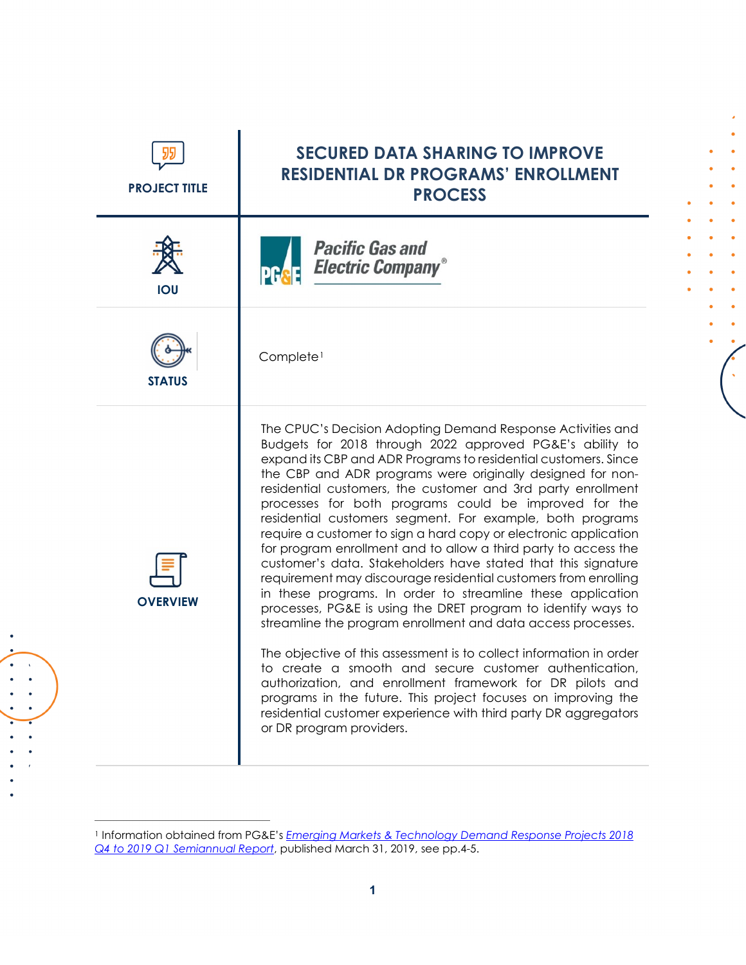| <b>PROJECT TITLE</b> | <b>SECURED DATA SHARING TO IMPROVE</b><br><b>RESIDENTIAL DR PROGRAMS' ENROLLMENT</b><br><b>PROCESS</b>                                                                                                                                                                                                                                                                                                                                                                                                                                                                                                                                                                                                                                                                                                                                                                                                                                                                                                                                                                                                                                                                                                                                                                                  |
|----------------------|-----------------------------------------------------------------------------------------------------------------------------------------------------------------------------------------------------------------------------------------------------------------------------------------------------------------------------------------------------------------------------------------------------------------------------------------------------------------------------------------------------------------------------------------------------------------------------------------------------------------------------------------------------------------------------------------------------------------------------------------------------------------------------------------------------------------------------------------------------------------------------------------------------------------------------------------------------------------------------------------------------------------------------------------------------------------------------------------------------------------------------------------------------------------------------------------------------------------------------------------------------------------------------------------|
| <b>IOU</b>           | <b>Pacific Gas and</b><br><b>Electric Company®</b>                                                                                                                                                                                                                                                                                                                                                                                                                                                                                                                                                                                                                                                                                                                                                                                                                                                                                                                                                                                                                                                                                                                                                                                                                                      |
| <b>STATUS</b>        | Complete <sup>1</sup>                                                                                                                                                                                                                                                                                                                                                                                                                                                                                                                                                                                                                                                                                                                                                                                                                                                                                                                                                                                                                                                                                                                                                                                                                                                                   |
| <b>OVERVIEW</b>      | The CPUC's Decision Adopting Demand Response Activities and<br>Budgets for 2018 through 2022 approved PG&E's ability to<br>expand its CBP and ADR Programs to residential customers. Since<br>the CBP and ADR programs were originally designed for non-<br>residential customers, the customer and 3rd party enrollment<br>processes for both programs could be improved for the<br>residential customers segment. For example, both programs<br>require a customer to sign a hard copy or electronic application<br>for program enrollment and to allow a third party to access the<br>customer's data. Stakeholders have stated that this signature<br>requirement may discourage residential customers from enrolling<br>in these programs. In order to streamline these application<br>processes, PG&E is using the DRET program to identify ways to<br>streamline the program enrollment and data access processes.<br>The objective of this assessment is to collect information in order<br>to create a smooth and secure customer authentication,<br>authorization, and enrollment framework for DR pilots and<br>programs in the future. This project focuses on improving the<br>residential customer experience with third party DR aggregators<br>or DR program providers. |

 $\bullet$  $\bullet$  $\bullet$ 

 $\left($ 

<span id="page-0-0"></span><sup>1</sup> Information obtained from PG&E's *[Emerging Markets & Technology Demand Response Projects 2018](https://www.dret-ca.com/wp-content/uploads/2019/07/PGE_2018Q4to2019Q1.pdf)  Q4 to 2019 Q1 [Semiannual Report](https://www.dret-ca.com/wp-content/uploads/2019/07/PGE_2018Q4to2019Q1.pdf)*, published March 31, 2019, see pp.4-5.